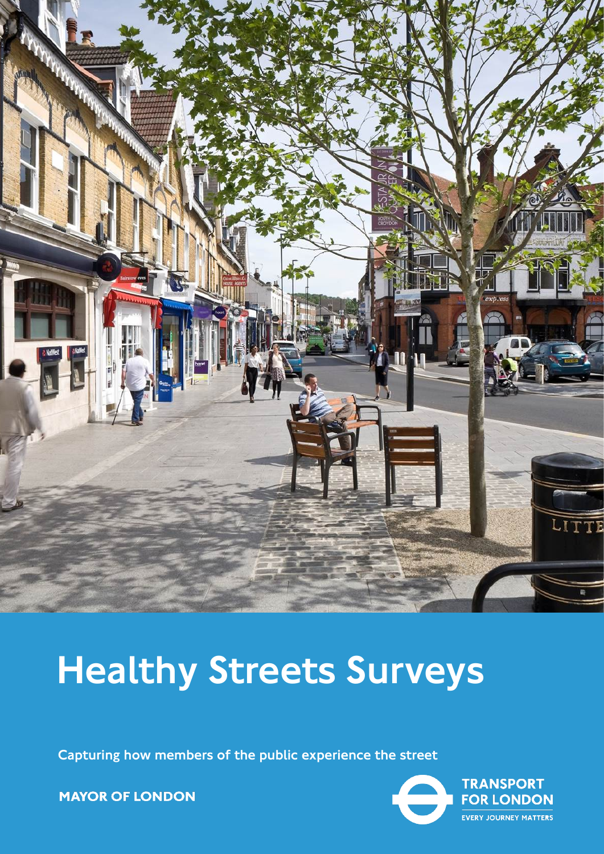

# Healthy Streets Surveys

Capturing how members of the public experience the street

**MAYOR OF LONDON** 

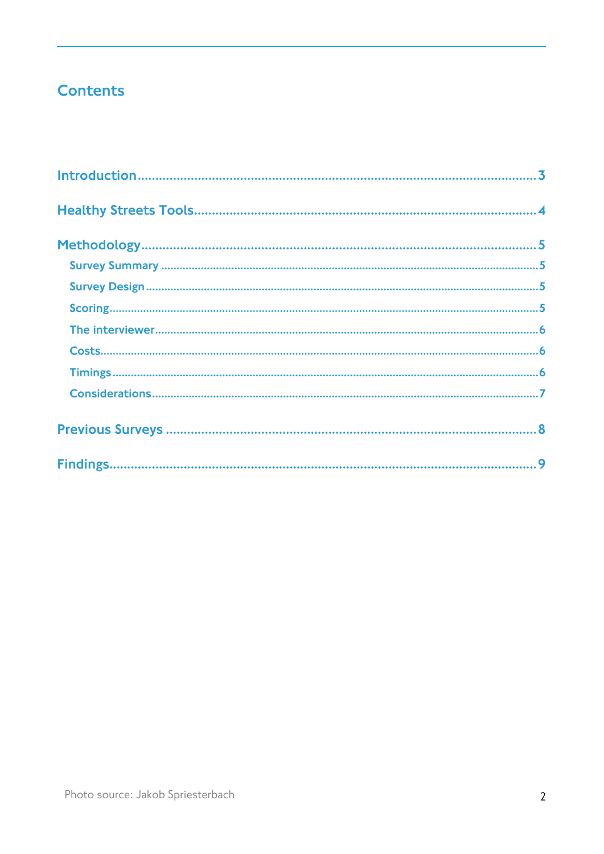# **Contents**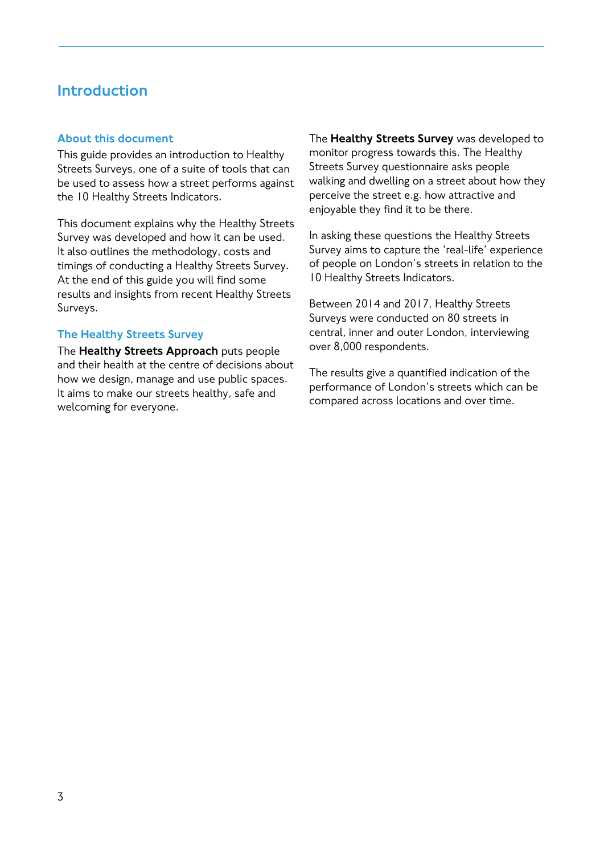## <span id="page-2-0"></span>Introduction

#### About this document

This guide provides an introduction to Healthy Streets Surveys, one of a suite of tools that can be used to assess how a street performs against the 10 Healthy Streets Indicators.

This document explains why the Healthy Streets Survey was developed and how it can be used. It also outlines the methodology, costs and timings of conducting a Healthy Streets Survey. At the end of this guide you will find some results and insights from recent Healthy Streets Surveys.

#### The Healthy Streets Survey

The **Healthy Streets Approach** puts people and their health at the centre of decisions about how we design, manage and use public spaces. It aims to make our streets healthy, safe and welcoming for everyone.

The **Healthy Streets Survey** was developed to monitor progress towards this. The Healthy Streets Survey questionnaire asks people walking and dwelling on a street about how they perceive the street e.g. how attractive and enjoyable they find it to be there.

In asking these questions the Healthy Streets Survey aims to capture the 'real-life' experience of people on London's streets in relation to the 10 Healthy Streets Indicators.

Between 2014 and 2017, Healthy Streets Surveys were conducted on 80 streets in central, inner and outer London, interviewing over 8,000 respondents.

The results give a quantified indication of the performance of London's streets which can be compared across locations and over time.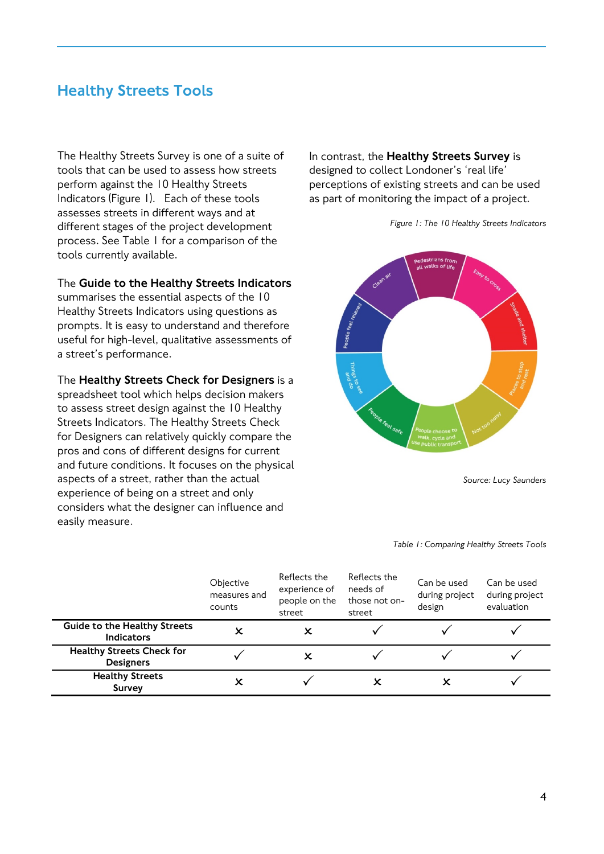## <span id="page-3-0"></span>Healthy Streets Tools

The Healthy Streets Survey is one of a suite of tools that can be used to assess how streets perform against the 10 Healthy Streets Indicators (Figure 1). Each of these tools assesses streets in different ways and at different stages of the project development process. See Table 1 for a comparison of the tools currently available.

The Guide to the Healthy Streets Indicators

summarises the essential aspects of the 10 Healthy Streets Indicators using questions as prompts. It is easy to understand and therefore useful for high-level, qualitative assessments of a street's performance.

The Healthy Streets Check for Designers is a spreadsheet tool which helps decision makers to assess street design against the 10 Healthy Streets Indicators. The Healthy Streets Check for Designers can relatively quickly compare the pros and cons of different designs for current and future conditions. It focuses on the physical aspects of a street, rather than the actual experience of being on a street and only considers what the designer can influence and easily measure.

In contrast, the Healthy Streets Survey is designed to collect Londoner's 'real life' perceptions of existing streets and can be used as part of monitoring the impact of a project.



*Figure 1: The 10 Healthy Streets Indicators*

*Source: Lucy Saunders*

#### *Table 1: Comparing Healthy Streets Tools*

|                                                          | Objective<br>measures and<br>counts | Reflects the<br>experience of<br>people on the<br>street | Reflects the<br>needs of<br>those not on-<br>street | Can be used<br>during project<br>design | Can be used<br>during project<br>evaluation |
|----------------------------------------------------------|-------------------------------------|----------------------------------------------------------|-----------------------------------------------------|-----------------------------------------|---------------------------------------------|
| <b>Guide to the Healthy Streets</b><br><b>Indicators</b> |                                     | x                                                        |                                                     |                                         |                                             |
| <b>Healthy Streets Check for</b><br><b>Designers</b>     |                                     |                                                          |                                                     |                                         |                                             |
| <b>Healthy Streets</b><br><b>Survey</b>                  |                                     |                                                          | х                                                   |                                         |                                             |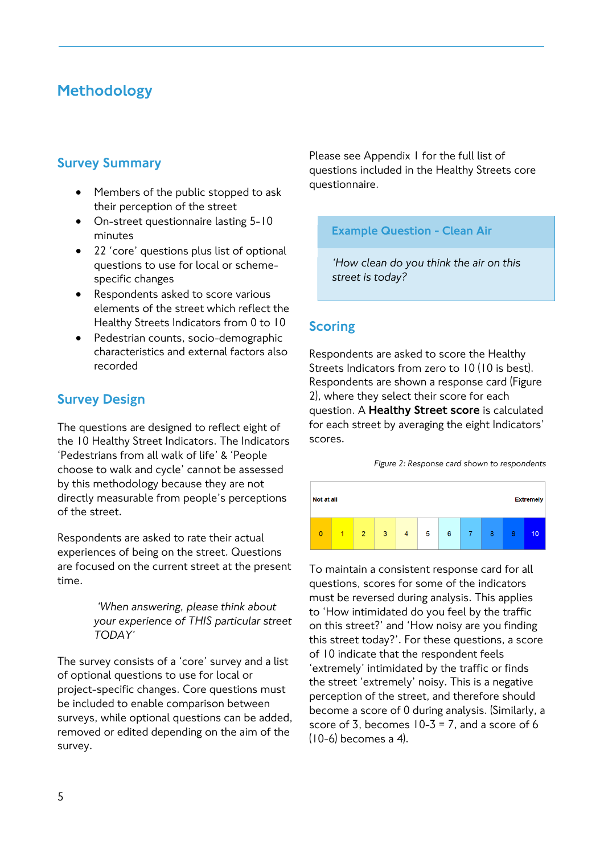## <span id="page-4-0"></span>Methodology

## <span id="page-4-1"></span>Survey Summary

- Members of the public stopped to ask their perception of the street
- On-street questionnaire lasting 5-10 minutes
- 22 'core' questions plus list of optional questions to use for local or schemespecific changes
- Respondents asked to score various elements of the street which reflect the Healthy Streets Indicators from 0 to 10
- Pedestrian counts, socio-demographic characteristics and external factors also recorded

## <span id="page-4-2"></span>Survey Design

The questions are designed to reflect eight of the 10 Healthy Street Indicators. The Indicators 'Pedestrians from all walk of life' & 'People choose to walk and cycle' cannot be assessed by this methodology because they are not directly measurable from people's perceptions of the street.

Respondents are asked to rate their actual experiences of being on the street. Questions are focused on the current street at the present time.

> *'When answering, please think about your experience of THIS particular street TODAY'*

The survey consists of a 'core' survey and a list of optional questions to use for local or project-specific changes. Core questions must be included to enable comparison between surveys, while optional questions can be added, removed or edited depending on the aim of the survey.

Please see Appendix 1 for the full list of questions included in the Healthy Streets core questionnaire.

#### Example Question - Clean Air

*'How clean do you think the air on this street is today?*

## <span id="page-4-3"></span>**Scoring**

Respondents are asked to score the Healthy Streets Indicators from zero to 10 (10 is best). Respondents are shown a response card (Figure 2), where they select their score for each question. A Healthy Street score is calculated for each street by averaging the eight Indicators' scores.

*Figure 2: Response card shown to respondents*



To maintain a consistent response card for all questions, scores for some of the indicators must be reversed during analysis. This applies to 'How intimidated do you feel by the traffic on this street?' and 'How noisy are you finding this street today?'. For these questions, a score of 10 indicate that the respondent feels 'extremely' intimidated by the traffic or finds the street 'extremely' noisy. This is a negative perception of the street, and therefore should become a score of 0 during analysis. (Similarly, a score of 3, becomes  $10-3 = 7$ , and a score of 6 (10-6) becomes a 4).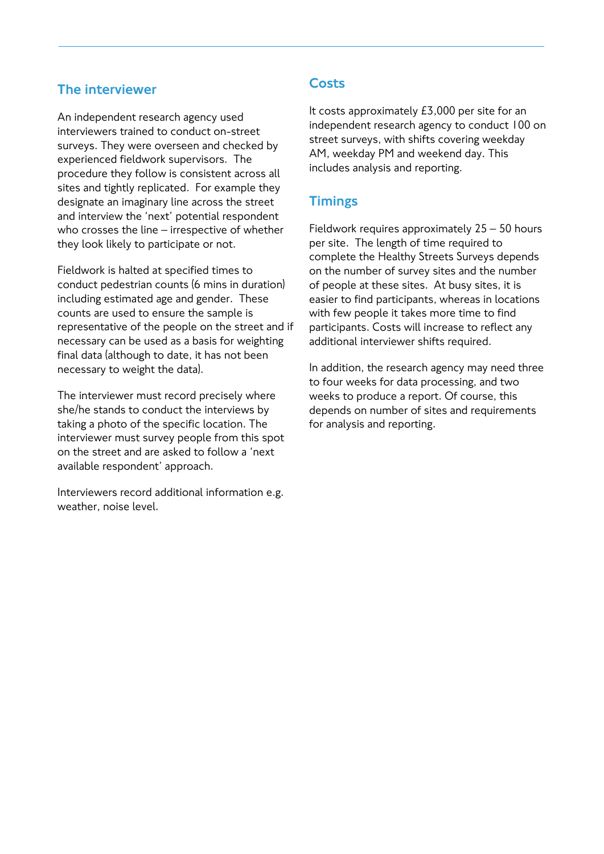## <span id="page-5-0"></span>The interviewer

An independent research agency used interviewers trained to conduct on-street surveys. They were overseen and checked by experienced fieldwork supervisors. The procedure they follow is consistent across all sites and tightly replicated. For example they designate an imaginary line across the street and interview the 'next' potential respondent who crosses the line – irrespective of whether they look likely to participate or not.

Fieldwork is halted at specified times to conduct pedestrian counts (6 mins in duration) including estimated age and gender. These counts are used to ensure the sample is representative of the people on the street and if necessary can be used as a basis for weighting final data (although to date, it has not been necessary to weight the data).

The interviewer must record precisely where she/he stands to conduct the interviews by taking a photo of the specific location. The interviewer must survey people from this spot on the street and are asked to follow a 'next available respondent' approach.

Interviewers record additional information e.g. weather, noise level.

## <span id="page-5-1"></span>**Costs**

It costs approximately £3,000 per site for an independent research agency to conduct 100 on street surveys, with shifts covering weekday AM, weekday PM and weekend day. This includes analysis and reporting.

## <span id="page-5-2"></span>**Timings**

Fieldwork requires approximately 25 – 50 hours per site. The length of time required to complete the Healthy Streets Surveys depends on the number of survey sites and the number of people at these sites. At busy sites, it is easier to find participants, whereas in locations with few people it takes more time to find participants. Costs will increase to reflect any additional interviewer shifts required.

In addition, the research agency may need three to four weeks for data processing, and two weeks to produce a report. Of course, this depends on number of sites and requirements for analysis and reporting.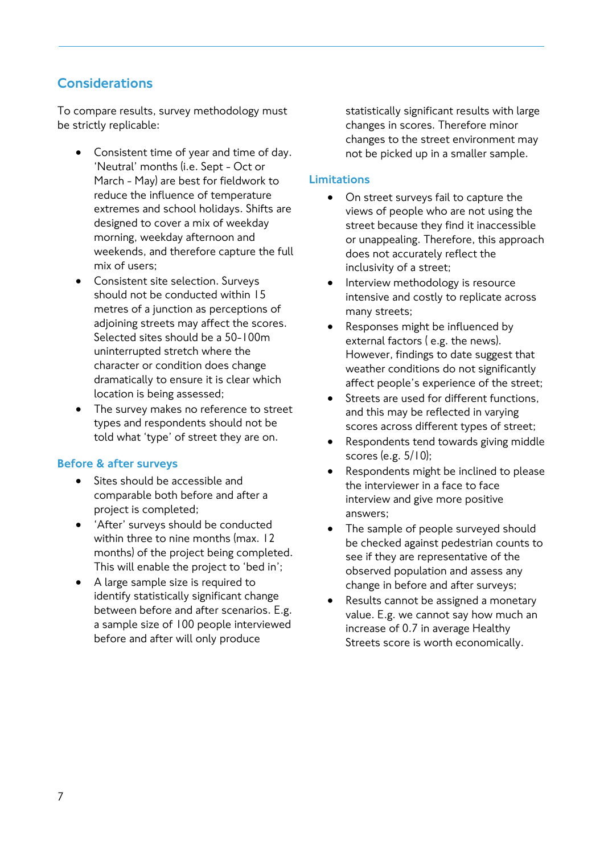## <span id="page-6-0"></span>Considerations

To compare results, survey methodology must be strictly replicable:

- Consistent time of year and time of day. 'Neutral' months (i.e. Sept - Oct or March - May) are best for fieldwork to reduce the influence of temperature extremes and school holidays. Shifts are designed to cover a mix of weekday morning, weekday afternoon and weekends, and therefore capture the full mix of users;
- Consistent site selection. Surveys should not be conducted within 15 metres of a junction as perceptions of adjoining streets may affect the scores. Selected sites should be a 50-100m uninterrupted stretch where the character or condition does change dramatically to ensure it is clear which location is being assessed;
- The survey makes no reference to street types and respondents should not be told what 'type' of street they are on.

## Before & after surveys

- Sites should be accessible and comparable both before and after a project is completed;
- 'After' surveys should be conducted within three to nine months (max. 12 months) of the project being completed. This will enable the project to 'bed in';
- A large sample size is required to identify statistically significant change between before and after scenarios. E.g. a sample size of 100 people interviewed before and after will only produce

statistically significant results with large changes in scores. Therefore minor changes to the street environment may not be picked up in a smaller sample.

#### Limitations

- On street surveys fail to capture the views of people who are not using the street because they find it inaccessible or unappealing. Therefore, this approach does not accurately reflect the inclusivity of a street;
- Interview methodology is resource intensive and costly to replicate across many streets;
- Responses might be influenced by external factors ( e.g. the news). However, findings to date suggest that weather conditions do not significantly affect people's experience of the street;
- Streets are used for different functions. and this may be reflected in varying scores across different types of street;
- Respondents tend towards giving middle scores (e.g. 5/10);
- Respondents might be inclined to please the interviewer in a face to face interview and give more positive answers;
- The sample of people surveyed should be checked against pedestrian counts to see if they are representative of the observed population and assess any change in before and after surveys;
- Results cannot be assigned a monetary value. E.g. we cannot say how much an increase of 0.7 in average Healthy Streets score is worth economically.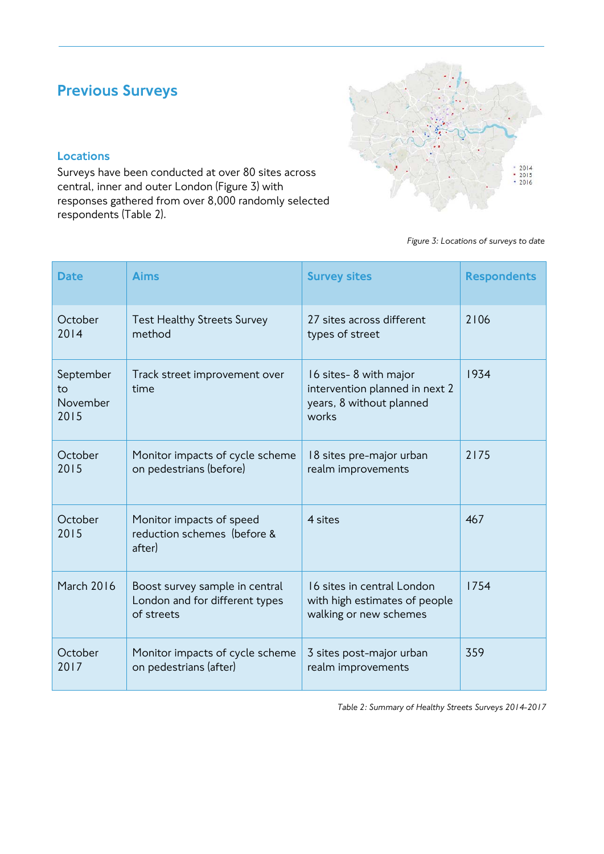# <span id="page-7-0"></span>Previous Surveys

## Locations

Surveys have been conducted at over 80 sites across central, inner and outer London (Figure 3) with responses gathered from over 8,000 randomly selected respondents (Table 2).



#### *Figure 3: Locations of surveys to date*

| <b>Date</b>                         | <b>Aims</b>                                                                    | <b>Survey sites</b>                                                                          | <b>Respondents</b> |
|-------------------------------------|--------------------------------------------------------------------------------|----------------------------------------------------------------------------------------------|--------------------|
| October<br>2014                     | <b>Test Healthy Streets Survey</b><br>method                                   | 27 sites across different<br>types of street                                                 | 2106               |
| September<br>to<br>November<br>2015 | Track street improvement over<br>time                                          | 16 sites-8 with major<br>intervention planned in next 2<br>years, 8 without planned<br>works | 1934               |
| October<br>2015                     | Monitor impacts of cycle scheme<br>on pedestrians (before)                     | 18 sites pre-major urban<br>realm improvements                                               | 2175               |
| October<br>2015                     | Monitor impacts of speed<br>reduction schemes (before &<br>after)              | 4 sites                                                                                      | 467                |
| <b>March 2016</b>                   | Boost survey sample in central<br>London and for different types<br>of streets | 16 sites in central London<br>with high estimates of people<br>walking or new schemes        | 1754               |
| October<br>2017                     | Monitor impacts of cycle scheme<br>on pedestrians (after)                      | 3 sites post-major urban<br>realm improvements                                               | 359                |

*Table 2: Summary of Healthy Streets Surveys 2014-2017*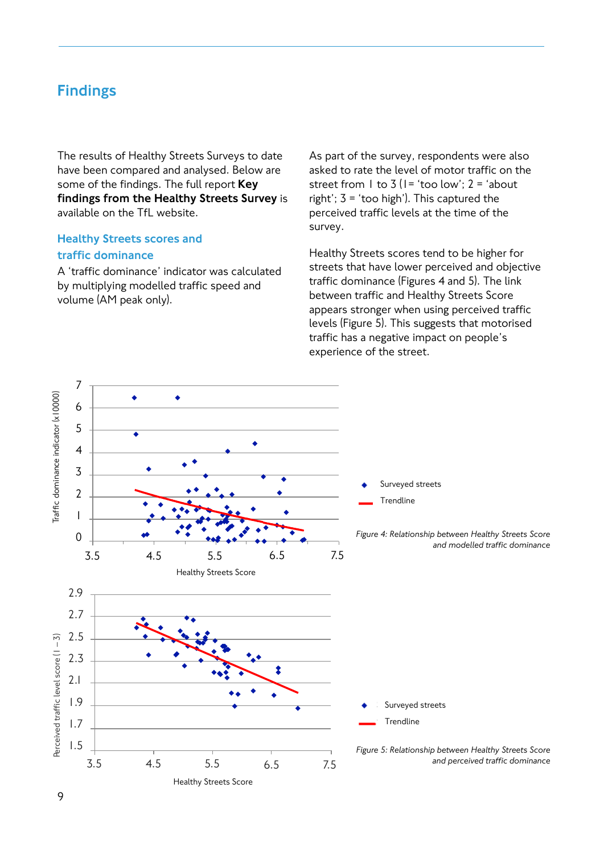## <span id="page-8-0"></span>Findings

The results of Healthy Streets Surveys to date have been compared and analysed. Below are some of the findings. The full report Key findings from the Healthy Streets Survey is available on the TfL website.

## Healthy Streets scores and traffic dominance

A 'traffic dominance' indicator was calculated by multiplying modelled traffic speed and volume (AM peak only).

As part of the survey, respondents were also asked to rate the level of motor traffic on the street from  $\vert \vert$  to  $\frac{1}{2}$  ( $\vert \vert = \frac{1}{2}$  too low':  $\vert \vert = \frac{1}{2}$  about right';  $3 = 'too high'$ ). This captured the perceived traffic levels at the time of the survey.

Healthy Streets scores tend to be higher for streets that have lower perceived and objective traffic dominance (Figures 4 and 5). The link between traffic and Healthy Streets Score appears stronger when using perceived traffic levels (Figure 5). This suggests that motorised traffic has a negative impact on people's experience of the street.

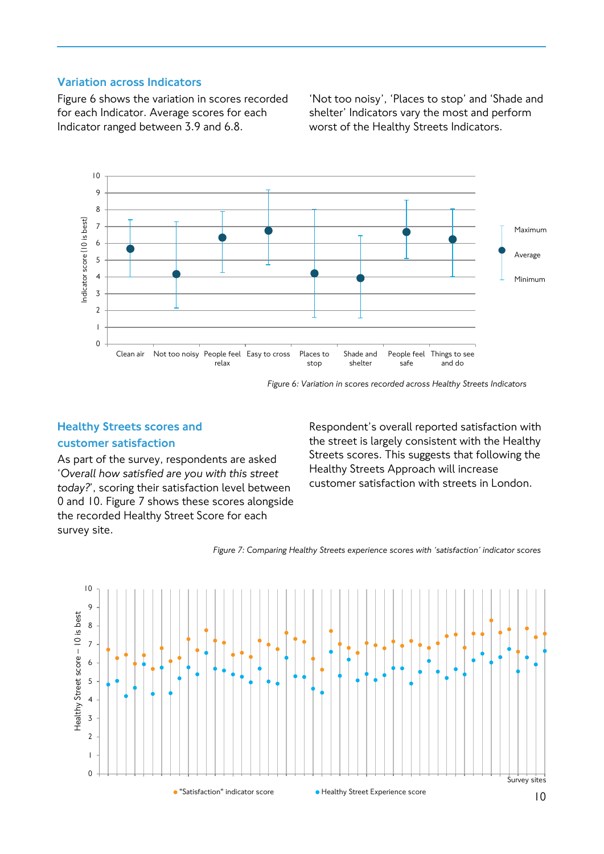#### Variation across Indicators

Figure 6 shows the variation in scores recorded for each Indicator. Average scores for each Indicator ranged between 3.9 and 6.8.

'Not too noisy', 'Places to stop' and 'Shade and shelter' Indicators vary the most and perform worst of the Healthy Streets Indicators.



*Figure 6: Variation in scores recorded across Healthy Streets Indicators*

## Healthy Streets scores and

#### customer satisfaction

As part of the survey, respondents are asked '*Overall how satisfied are you with this street today?*', scoring their satisfaction level between 0 and 10. Figure 7 shows these scores alongside the recorded Healthy Street Score for each survey site.

Respondent's overall reported satisfaction with the street is largely consistent with the Healthy Streets scores. This suggests that following the Healthy Streets Approach will increase customer satisfaction with streets in London.

*Figure 7: Comparing Healthy Streets experience scores with 'satisfaction' indicator scores*

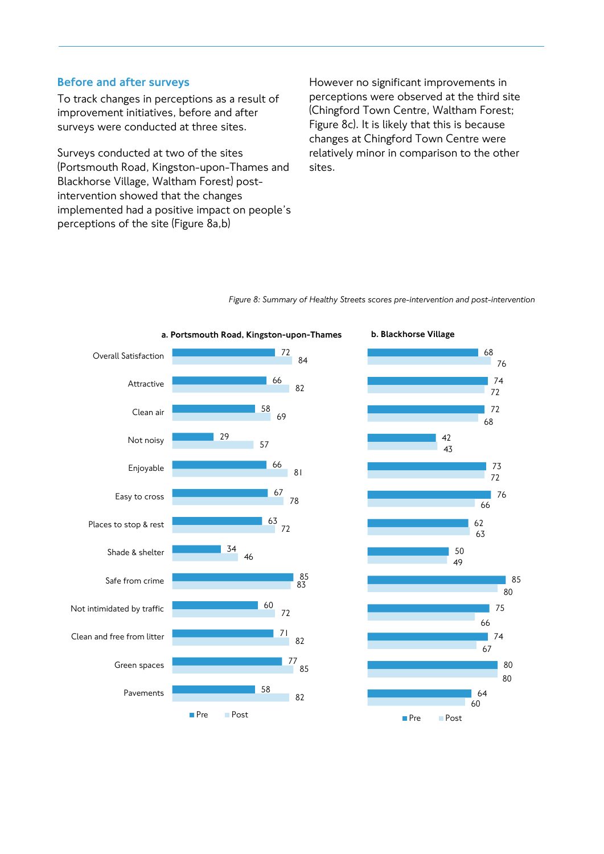#### Before and after surveys

To track changes in perceptions as a result of improvement initiatives, before and after surveys were conducted at three sites.

Surveys conducted at two of the sites (Portsmouth Road, Kingston-upon-Thames and Blackhorse Village, Waltham Forest) postintervention showed that the changes implemented had a positive impact on people's perceptions of the site (Figure 8a,b)

However no significant improvements in perceptions were observed at the third site (Chingford Town Centre, Waltham Forest; Figure 8c). It is likely that this is because changes at Chingford Town Centre were relatively minor in comparison to the other sites.

*Figure 8: Summary of Healthy Streets scores pre-intervention and post-intervention* 

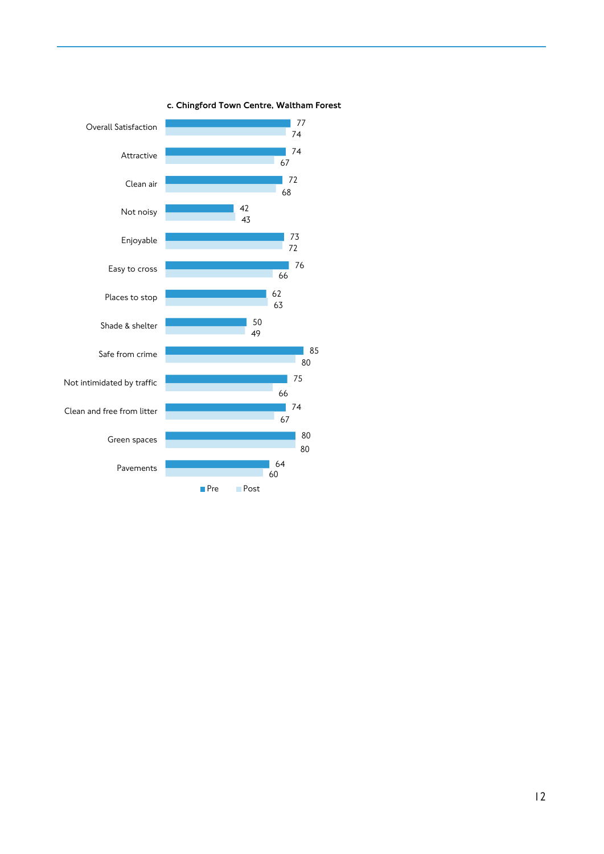

c. Chingford Town Centre, Waltham Forest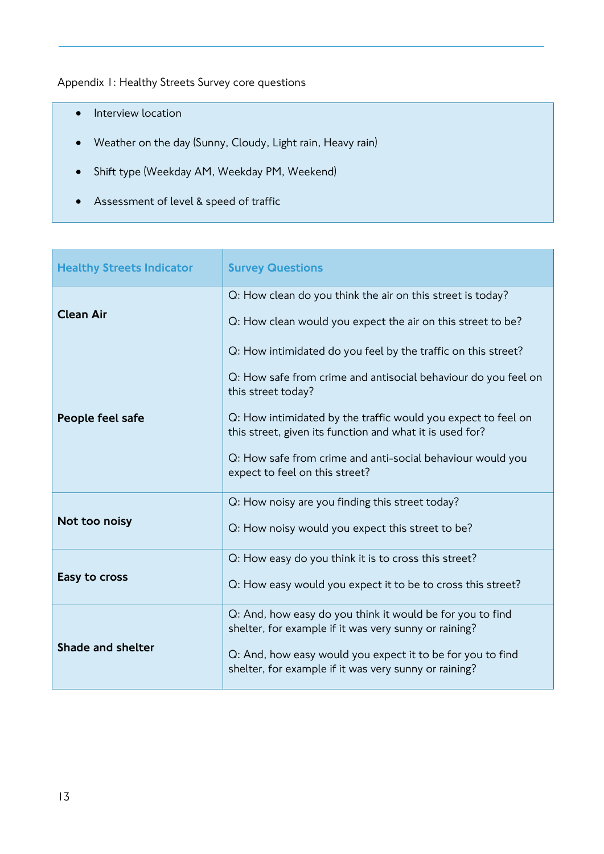Appendix 1: Healthy Streets Survey core questions

- Interview location
- Weather on the day (Sunny, Cloudy, Light rain, Heavy rain)
- Shift type (Weekday AM, Weekday PM, Weekend)
- Assessment of level & speed of traffic

| <b>Healthy Streets Indicator</b> | <b>Survey Questions</b>                                                                                                                                                                                                                                                                                                                                                            |
|----------------------------------|------------------------------------------------------------------------------------------------------------------------------------------------------------------------------------------------------------------------------------------------------------------------------------------------------------------------------------------------------------------------------------|
| <b>Clean Air</b>                 | Q: How clean do you think the air on this street is today?<br>Q: How clean would you expect the air on this street to be?                                                                                                                                                                                                                                                          |
| People feel safe                 | Q: How intimidated do you feel by the traffic on this street?<br>Q: How safe from crime and antisocial behaviour do you feel on<br>this street today?<br>Q: How intimidated by the traffic would you expect to feel on<br>this street, given its function and what it is used for?<br>Q: How safe from crime and anti-social behaviour would you<br>expect to feel on this street? |
| Not too noisy                    | Q: How noisy are you finding this street today?<br>Q: How noisy would you expect this street to be?                                                                                                                                                                                                                                                                                |
| Easy to cross                    | Q: How easy do you think it is to cross this street?<br>Q: How easy would you expect it to be to cross this street?                                                                                                                                                                                                                                                                |
| Shade and shelter                | Q: And, how easy do you think it would be for you to find<br>shelter, for example if it was very sunny or raining?<br>Q: And, how easy would you expect it to be for you to find<br>shelter, for example if it was very sunny or raining?                                                                                                                                          |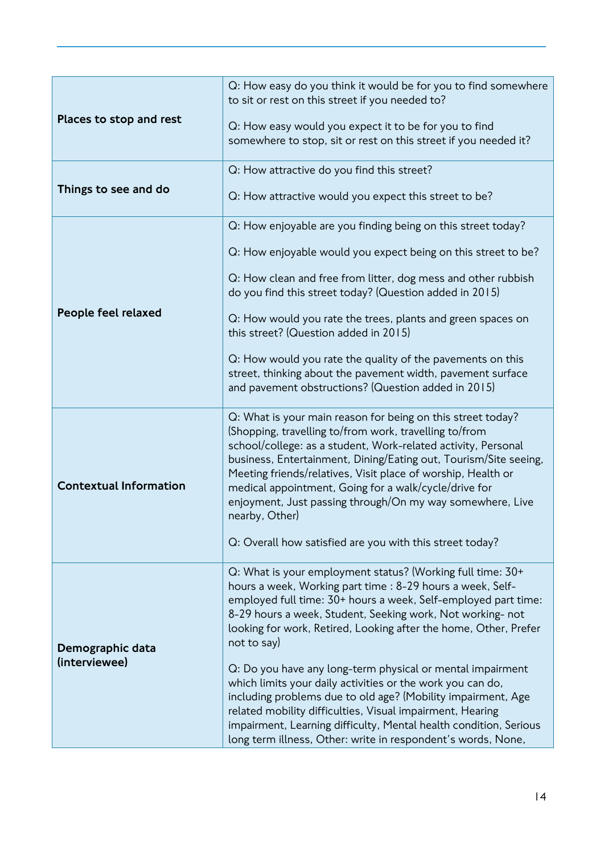|                                   | Q: How easy do you think it would be for you to find somewhere<br>to sit or rest on this street if you needed to?                                                                                                                                                                                                                                                                                                                                                                                                              |
|-----------------------------------|--------------------------------------------------------------------------------------------------------------------------------------------------------------------------------------------------------------------------------------------------------------------------------------------------------------------------------------------------------------------------------------------------------------------------------------------------------------------------------------------------------------------------------|
| Places to stop and rest           | Q: How easy would you expect it to be for you to find<br>somewhere to stop, sit or rest on this street if you needed it?                                                                                                                                                                                                                                                                                                                                                                                                       |
|                                   | Q: How attractive do you find this street?                                                                                                                                                                                                                                                                                                                                                                                                                                                                                     |
| Things to see and do              | Q: How attractive would you expect this street to be?                                                                                                                                                                                                                                                                                                                                                                                                                                                                          |
|                                   | Q: How enjoyable are you finding being on this street today?                                                                                                                                                                                                                                                                                                                                                                                                                                                                   |
|                                   | Q: How enjoyable would you expect being on this street to be?                                                                                                                                                                                                                                                                                                                                                                                                                                                                  |
|                                   | Q: How clean and free from litter, dog mess and other rubbish<br>do you find this street today? (Question added in 2015)                                                                                                                                                                                                                                                                                                                                                                                                       |
| People feel relaxed               | Q: How would you rate the trees, plants and green spaces on<br>this street? (Question added in 2015)                                                                                                                                                                                                                                                                                                                                                                                                                           |
|                                   | Q: How would you rate the quality of the pavements on this<br>street, thinking about the pavement width, pavement surface<br>and pavement obstructions? (Question added in 2015)                                                                                                                                                                                                                                                                                                                                               |
| <b>Contextual Information</b>     | Q: What is your main reason for being on this street today?<br>(Shopping, travelling to/from work, travelling to/from<br>school/college: as a student, Work-related activity, Personal<br>business, Entertainment, Dining/Eating out, Tourism/Site seeing,<br>Meeting friends/relatives, Visit place of worship, Health or<br>medical appointment, Going for a walk/cycle/drive for<br>enjoyment, Just passing through/On my way somewhere, Live<br>nearby, Other)<br>Q: Overall how satisfied are you with this street today? |
|                                   | Q: What is your employment status? (Working full time: 30+                                                                                                                                                                                                                                                                                                                                                                                                                                                                     |
| Demographic data<br>(interviewee) | hours a week, Working part time : 8-29 hours a week, Self-<br>employed full time: 30+ hours a week, Self-employed part time:<br>8-29 hours a week, Student, Seeking work, Not working-not<br>looking for work, Retired, Looking after the home, Other, Prefer<br>not to say)<br>Q: Do you have any long-term physical or mental impairment                                                                                                                                                                                     |
|                                   | which limits your daily activities or the work you can do,<br>including problems due to old age? (Mobility impairment, Age<br>related mobility difficulties, Visual impairment, Hearing<br>impairment, Learning difficulty, Mental health condition, Serious<br>long term illness, Other: write in respondent's words, None,                                                                                                                                                                                                   |